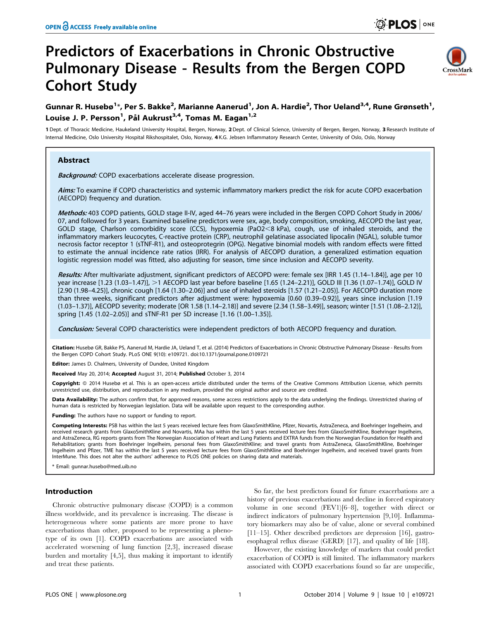# Predictors of Exacerbations in Chronic Obstructive Pulmonary Disease - Results from the Bergen COPD Cohort Study



# Gunnar R. Husebø $^{1*}$ , Per S. Bakke $^2$ , Marianne Aanerud $^1$ , Jon A. Hardie $^2$ , Thor Ueland $^{3,4}$ , Rune Grønseth $^1$ , Louise J. P. Persson<sup>1</sup>, Pål Aukrust<sup>3,4</sup>, Tomas M. Eagan<sup>1,2</sup>

1 Dept. of Thoracic Medicine, Haukeland University Hospital, Bergen, Norway, 2 Dept. of Clinical Science, University of Bergen, Bergen, Norway, 3 Research Institute of Internal Medicine, Oslo University Hospital Rikshospitalet, Oslo, Norway, 4 K.G. Jebsen Inflammatory Research Center, University of Oslo, Oslo, Norway

# Abstract

Background: COPD exacerbations accelerate disease progression.

Aims: To examine if COPD characteristics and systemic inflammatory markers predict the risk for acute COPD exacerbation (AECOPD) frequency and duration.

Methods: 403 COPD patients, GOLD stage II-IV, aged 44-76 years were included in the Bergen COPD Cohort Study in 2006/ 07, and followed for 3 years. Examined baseline predictors were sex, age, body composition, smoking, AECOPD the last year, GOLD stage, Charlson comorbidity score (CCS), hypoxemia (PaO2<8 kPa), cough, use of inhaled steroids, and the inflammatory markers leucocytes, C-reactive protein (CRP), neutrophil gelatinase associated lipocalin (NGAL), soluble tumor necrosis factor receptor 1 (sTNF-R1), and osteoprotegrin (OPG). Negative binomial models with random effects were fitted to estimate the annual incidence rate ratios (IRR). For analysis of AECOPD duration, a generalized estimation equation logistic regression model was fitted, also adjusting for season, time since inclusion and AECOPD severity.

Results: After multivariate adjustment, significant predictors of AECOPD were: female sex [IRR 1.45 (1.14–1.84)], age per 10 year increase [1.23 (1.03-1.47)], >1 AECOPD last year before baseline [1.65 (1.24-2.21)], GOLD III [1.36 (1.07-1.74)], GOLD IV [2.90 (1.98–4.25)], chronic cough [1.64 (1.30–2.06)] and use of inhaled steroids [1.57 (1.21–2.05)]. For AECOPD duration more than three weeks, significant predictors after adjustment were: hypoxemia [0.60 (0.39–0.92)], years since inclusion [1.19 (1.03–1.37)], AECOPD severity; moderate [OR 1.58 (1.14–2.18)] and severe [2.34 (1.58–3.49)], season; winter [1.51 (1.08–2.12)], spring [1.45 (1.02–2.05)] and sTNF-R1 per SD increase [1.16 (1.00–1.35)].

Conclusion: Several COPD characteristics were independent predictors of both AECOPD frequency and duration.

Citation: Husebø GR, Bakke PS, Aanerud M, Hardie JA, Ueland T, et al. (2014) Predictors of Exacerbations in Chronic Obstructive Pulmonary Disease - Results from the Bergen COPD Cohort Study. PLoS ONE 9(10): e109721. doi:10.1371/journal.pone.0109721

Editor: James D. Chalmers, University of Dundee, United Kingdom

Received May 20, 2014; Accepted August 31, 2014; Published October 3, 2014

Copyright: © 2014 Husebø et al. This is an open-access article distributed under the terms of the [Creative Commons Attribution License,](http://creativecommons.org/licenses/by/4.0/) which permits unrestricted use, distribution, and reproduction in any medium, provided the original author and source are credited.

Data Availability: The authors confirm that, for approved reasons, some access restrictions apply to the data underlying the findings. Unrestricted sharing of human data is restricted by Norwegian legislation. Data will be available upon request to the corresponding author.

Funding: The authors have no support or funding to report.

Competing Interests: PSB has within the last 5 years received lecture fees from GlaxoSmithKline, Pfizer, Novartis, AstraZeneca, and Boehringer Ingelheim, and received research grants from GlaxoSmithKline and Novartis, MAa has within the last 5 years received lecture fees from GlaxoSmithKline, Boehringer Ingelheim, and AstraZeneca, RG reports grants from The Norwegian Association of Heart and Lung Patients and EXTRA funds from the Norwegian Foundation for Health and Rehabilitation; grants from Boehringer Ingelheim, personal fees from GlaxoSmithKline; and travel grants from AstraZeneca, GlaxoSmithKline, Boehringer Ingelheim and Pfizer, TME has within the last 5 years received lecture fees from GlaxoSmithKline and Boehringer Ingelheim, and received travel grants from InterMune. This does not alter the authors' adherence to PLOS ONE policies on sharing data and materials.

\* Email: gunnar.husebo@med.uib.no

# Introduction

Chronic obstructive pulmonary disease (COPD) is a common illness worldwide, and its prevalence is increasing. The disease is heterogeneous where some patients are more prone to have exacerbations than other, proposed to be representing a phenotype of its own [1]. COPD exacerbations are associated with accelerated worsening of lung function [2,3], increased disease burden and mortality [4,5], thus making it important to identify and treat these patients.

So far, the best predictors found for future exacerbations are a history of previous exacerbations and decline in forced expiratory volume in one second (FEV1)[6–8], together with direct or indirect indicators of pulmonary hypertension [9,10]. Inflammatory biomarkers may also be of value, alone or several combined [11–15]. Other described predictors are depression [16], gastroesophageal reflux disease (GERD) [17], and quality of life [18].

However, the existing knowledge of markers that could predict exacerbation of COPD is still limited. The inflammatory markers associated with COPD exacerbations found so far are unspecific,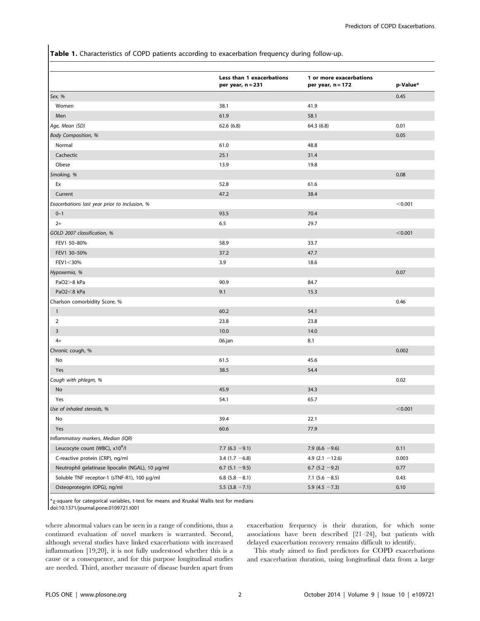Table 1. Characteristics of COPD patients according to exacerbation frequency during follow-up.

|                                                  | Less than 1 exacerbations<br>per year, n = 231 | 1 or more exacerbations<br>per year, n = 172 | p-Value* |
|--------------------------------------------------|------------------------------------------------|----------------------------------------------|----------|
| Sex, %                                           |                                                |                                              | 0.45     |
| Women                                            | 38.1                                           | 41.9                                         |          |
| Men                                              | 61.9                                           | 58.1                                         |          |
| Age, Mean (SD)                                   | 62.6(6.8)                                      | 64.3 (6.8)                                   | 0.01     |
| <b>Body Composition, %</b>                       |                                                |                                              | 0.05     |
| Normal                                           | 61.0                                           | 48.8                                         |          |
| Cachectic                                        | 25.1                                           | 31.4                                         |          |
| Obese                                            | 13.9                                           | 19.8                                         |          |
| Smoking, %                                       |                                                |                                              | 0.08     |
| Ex                                               | 52.8                                           | 61.6                                         |          |
| Current                                          | 47.2                                           | 38.4                                         |          |
| Exacerbations last year prior to inclusion, %    |                                                |                                              | < 0.001  |
| $0 - 1$                                          | 93.5                                           | 70.4                                         |          |
| $2+$                                             | 6.5                                            | 29.7                                         |          |
| GOLD 2007 classification, %                      |                                                |                                              | < 0.001  |
| FEV1 50-80%                                      | 58.9                                           | 33.7                                         |          |
| FEV1 30-50%                                      | 37.2                                           | 47.7                                         |          |
| FEV1<30%                                         | 3.9                                            | 18.6                                         |          |
| Hypoxemia, %                                     |                                                |                                              | 0.07     |
| PaO2>8 kPa                                       | 90.9                                           | 84.7                                         |          |
| PaO2<8 kPa                                       | 9.1                                            | 15.3                                         |          |
| Charlson comorbidity Score, %                    |                                                |                                              | 0.46     |
| $\overline{1}$                                   | 60.2                                           | 54.1                                         |          |
| 2                                                | 23.8                                           | 23.8                                         |          |
| 3                                                | 10.0                                           | 14.0                                         |          |
| $4+$                                             | 06.jan                                         | 8.1                                          |          |
| Chronic cough, %                                 |                                                |                                              | 0.002    |
| No                                               | 61.5                                           | 45.6                                         |          |
| Yes                                              | 38.5                                           | 54.4                                         |          |
| Cough with phlegm, %                             |                                                |                                              | 0.02     |
| No                                               | 45.9                                           | 34.3                                         |          |
| Yes                                              | 54.1                                           | 65.7                                         |          |
| Use of inhaled steroids, %                       |                                                |                                              | < 0.001  |
| No                                               | 39.4                                           | 22.1                                         |          |
| Yes                                              | 60.6                                           | 77.9                                         |          |
| Inflammatory markers, Median (IQR)               |                                                |                                              |          |
| Leucocyte count (WBC), x10 <sup>9</sup> /l       | 7.7 (6.3 $-9.1$ )                              | 7.9 $(6.6 - 9.6)$                            | 0.11     |
| C-reactive protein (CRP), ng/ml                  | 3.4 $(1.7 - 6.8)$                              | 4.9 $(2.1 - 12.6)$                           | 0.003    |
| Neutrophil gelatinase lipocalin (NGAL), 10 μg/ml | 6.7 $(5.1 - 9.5)$                              | $6.7$ (5.2 $-9.2$ )                          | 0.77     |
| Soluble TNF receptor-1 (sTNF-R1), 100 μg/ml      | 6.8 $(5.8 - 8.1)$                              | 7.1 $(5.6 - 8.5)$                            | 0.43     |
| Osteoprotegrin (OPG), ng/ml                      | 5.5 $(3.8 - 7.1)$                              | 5.9 $(4.5 - 7.3)$                            | 0.10     |

 $*_\chi$ -square for categorical variables, t-test for means and Kruskal Wallis test for medians doi:10.1371/journal.pone.0109721.t001

where abnormal values can be seen in a range of conditions, thus a continued evaluation of novel markers is warranted. Second, although several studies have linked exacerbations with increased inflammation [19,20], it is not fully understood whether this is a cause or a consequence, and for this purpose longitudinal studies are needed. Third, another measure of disease burden apart from

exacerbation frequency is their duration, for which some associations have been described [21–24], but patients with delayed exacerbation recovery remains difficult to identify.

This study aimed to find predictors for COPD exacerbations and exacerbation duration, using longitudinal data from a large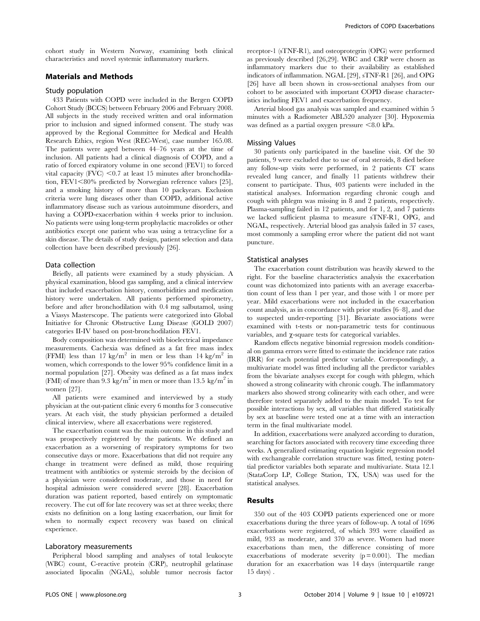cohort study in Western Norway, examining both clinical characteristics and novel systemic inflammatory markers.

# Materials and Methods

#### Study population

433 Patients with COPD were included in the Bergen COPD Cohort Study (BCCS) between February 2006 and February 2008. All subjects in the study received written and oral information prior to inclusion and signed informed consent. The study was approved by the Regional Committee for Medical and Health Research Ethics, region West (REC-West), case number 165.08. The patients were aged between 44–76 years at the time of inclusion. All patients had a clinical diagnosis of COPD, and a ratio of forced expiratory volume in one second (FEV1) to forced vital capacity  $\langle \text{FVC} \rangle \leq 0.7$  at least 15 minutes after bronchodilation,  $FEV1 < 80\%$  predicted by Norwegian reference values [25], and a smoking history of more than 10 packyears. Exclusion criteria were lung diseases other than COPD, additional active inflammatory disease such as various autoimmune disorders, and having a COPD-exacerbation within 4 weeks prior to inclusion. No patients were using long-term prophylactic macrolides or other antibiotics except one patient who was using a tetracycline for a skin disease. The details of study design, patient selection and data collection have been described previously [26].

# Data collection

Briefly, all patients were examined by a study physician. A physical examination, blood gas sampling, and a clinical interview that included exacerbation history, comorbidities and medication history were undertaken. All patients performed spirometry, before and after bronchodilation with 0.4 mg salbutamol, using a Viasys Masterscope. The patients were categorized into Global Initiative for Chronic Obstructive Lung Disease (GOLD 2007) categories II-IV based on post-bronchodilation FEV1.

Body composition was determined with bioelectrical impedance measurements. Cachexia was defined as a fat free mass index (FFMI) less than 17 kg/m<sup>2</sup> in men or less than 14 kg/m<sup>2</sup> in women, which corresponds to the lower 95% confidence limit in a normal population [27]. Obesity was defined as a fat mass index (FMI) of more than 9.3 kg/m<sup>2</sup> in men or more than 13.5 kg/m<sup>2</sup> in women [27].

All patients were examined and interviewed by a study physician at the out-patient clinic every 6 months for 3 consecutive years. At each visit, the study physician performed a detailed clinical interview, where all exacerbations were registered.

The exacerbation count was the main outcome in this study and was prospectively registered by the patients. We defined an exacerbation as a worsening of respiratory symptoms for two consecutive days or more. Exacerbations that did not require any change in treatment were defined as mild, those requiring treatment with antibiotics or systemic steroids by the decision of a physician were considered moderate, and those in need for hospital admission were considered severe [28]. Exacerbation duration was patient reported, based entirely on symptomatic recovery. The cut off for late recovery was set at three weeks; there exists no definition on a long lasting exacerbation, our limit for when to normally expect recovery was based on clinical experience.

#### Laboratory measurements

Peripheral blood sampling and analyses of total leukocyte (WBC) count, C-reactive protein (CRP), neutrophil gelatinase associated lipocalin (NGAL), soluble tumor necrosis factor receptor-1 (sTNF-R1), and osteoprotegrin (OPG) were performed as previously described [26,29]. WBC and CRP were chosen as inflammatory markers due to their availability as established indicators of inflammation. NGAL [29], sTNF-R1 [26], and OPG [26] have all been shown in cross-sectional analyses from our cohort to be associated with important COPD disease characteristics including FEV1 and exacerbation frequency.

Arterial blood gas analysis was sampled and examined within 5 minutes with a Radiometer ABL520 analyzer [30]. Hypoxemia was defined as a partial oxygen pressure  $\leq 8.0$  kPa.

### Missing Values

30 patients only participated in the baseline visit. Of the 30 patients, 9 were excluded due to use of oral steroids, 8 died before any follow-up visits were performed, in 2 patients CT scans revealed lung cancer, and finally 11 patients withdrew their consent to participate. Thus, 403 patients were included in the statistical analyses. Information regarding chronic cough and cough with phlegm was missing in 8 and 2 patients, respectively. Plasma-sampling failed in 12 patients, and for 1, 2, and 7 patients we lacked sufficient plasma to measure sTNF-R1, OPG, and NGAL, respectively. Arterial blood gas analysis failed in 37 cases, most commonly a sampling error where the patient did not want puncture.

#### Statistical analyses

The exacerbation count distribution was heavily skewed to the right. For the baseline characteristics analysis the exacerbation count was dichotomized into patients with an average exacerbation count of less than 1 per year, and those with 1 or more per year. Mild exacerbations were not included in the exacerbation count analysis, as in concordance with prior studies [6–8], and due to suspected under-reporting [31]. Bivariate associations were examined with t-tests or non-parametric tests for continuous variables, and  $\chi$ -square tests for categorical variables.

Random effects negative binomial regression models conditional on gamma errors were fitted to estimate the incidence rate ratios (IRR) for each potential predictor variable. Correspondingly, a multivariate model was fitted including all the predictor variables from the bivariate analyses except for cough with phlegm, which showed a strong colinearity with chronic cough. The inflammatory markers also showed strong colinearity with each other, and were therefore tested separately added to the main model. To test for possible interactions by sex, all variables that differed statistically by sex at baseline were tested one at a time with an interaction term in the final multivariate model.

In addition, exacerbations were analyzed according to duration, searching for factors associated with recovery time exceeding three weeks. A generalized estimating equation logistic regression model with exchangeable correlation structure was fitted, testing potential predictor variables both separate and multivariate. Stata 12.1 (StataCorp LP, College Station, TX, USA) was used for the statistical analyses.

# Results

350 out of the 403 COPD patients experienced one or more exacerbations during the three years of follow-up. A total of 1696 exacerbations were registered, of which 393 were classified as mild, 933 as moderate, and 370 as severe. Women had more exacerbations than men, the difference consisting of more exacerbations of moderate severity  $(p = 0.001)$ . The median duration for an exacerbation was 14 days (interquartile range 15 days) .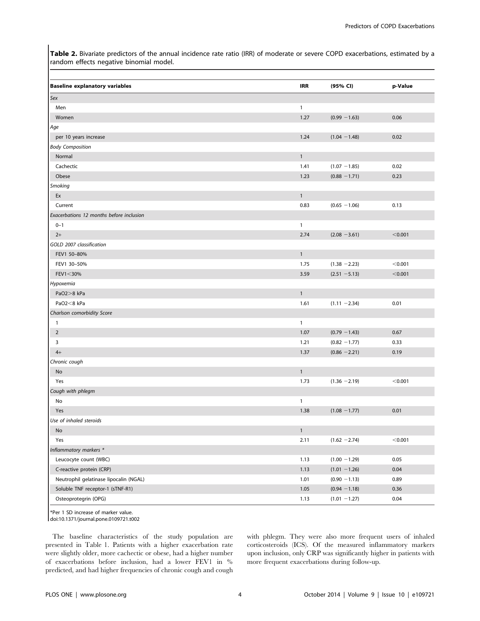Table 2. Bivariate predictors of the annual incidence rate ratio (IRR) of moderate or severe COPD exacerbations, estimated by a random effects negative binomial model.

| <b>IRR</b><br>(95% CI)<br>p-Value<br>$\mathbf{1}$<br>Men<br>1.27<br>Women<br>$(0.99 - 1.63)$<br>0.06<br>Age<br>0.02<br>1.24<br>$(1.04 - 1.48)$<br>per 10 years increase<br>$\mathbf{1}$<br>Normal<br>Cachectic<br>0.02<br>1.41<br>$(1.07 - 1.85)$<br>Obese<br>1.23<br>0.23<br>$(0.88 - 1.71)$<br>Ex<br>$\mathbf{1}$<br>0.83<br>Current<br>$(0.65 - 1.06)$<br>0.13<br>Exacerbations 12 months before inclusion<br>$0 - 1$<br>$\mathbf{1}$<br>2.74<br>$(2.08 - 3.61)$<br>< 0.001<br>$2+$<br>GOLD 2007 classification<br>FEV1 50-80%<br>$\mathbf{1}$<br>< 0.001<br>FEV1 30-50%<br>1.75<br>$(1.38 - 2.23)$<br>FEV1<30%<br>3.59<br>< 0.001<br>$(2.51 - 5.13)$<br>Hypoxemia<br>$\mathbf{1}$<br>PaO2>8 kPa<br>0.01<br>PaO2<8 kPa<br>1.61<br>$(1.11 - 2.34)$<br>Charlson comorbidity Score<br>$\mathbf{1}$<br>$\mathbf{1}$<br>1.07<br>$\overline{2}$<br>$(0.79 - 1.43)$<br>0.67<br>3<br>1.21<br>$(0.82 - 1.77)$<br>0.33<br>$4+$<br>1.37<br>$(0.86 - 2.21)$<br>0.19<br>Chronic cough<br>$\mathbf{1}$<br>No<br>Yes<br>1.73<br>< 0.001<br>$(1.36 - 2.19)$<br>Cough with phlegm<br>$\mathbf{1}$<br>No<br>Yes<br>1.38<br>$(1.08 - 1.77)$<br>0.01<br>Use of inhaled steroids<br>$\mathbf{1}$<br>No<br>2.11<br>$(1.62 - 2.74)$<br>< 0.001<br>Yes<br>Inflammatory markers *<br>Leucocyte count (WBC)<br>1.13<br>$(1.00 - 1.29)$<br>0.05<br>C-reactive protein (CRP)<br>1.13<br>$(1.01 - 1.26)$<br>0.04<br>Neutrophil gelatinase lipocalin (NGAL)<br>1.01<br>0.89<br>$(0.90 - 1.13)$<br>Soluble TNF receptor-1 (sTNF-R1)<br>1.05<br>0.36<br>$(0.94 - 1.18)$<br>Osteoprotegrin (OPG)<br>0.04<br>1.13<br>$(1.01 - 1.27)$ |                                       |  |  |
|-------------------------------------------------------------------------------------------------------------------------------------------------------------------------------------------------------------------------------------------------------------------------------------------------------------------------------------------------------------------------------------------------------------------------------------------------------------------------------------------------------------------------------------------------------------------------------------------------------------------------------------------------------------------------------------------------------------------------------------------------------------------------------------------------------------------------------------------------------------------------------------------------------------------------------------------------------------------------------------------------------------------------------------------------------------------------------------------------------------------------------------------------------------------------------------------------------------------------------------------------------------------------------------------------------------------------------------------------------------------------------------------------------------------------------------------------------------------------------------------------------------------------------------------------------------------------------------------------------|---------------------------------------|--|--|
|                                                                                                                                                                                                                                                                                                                                                                                                                                                                                                                                                                                                                                                                                                                                                                                                                                                                                                                                                                                                                                                                                                                                                                                                                                                                                                                                                                                                                                                                                                                                                                                                       | <b>Baseline explanatory variables</b> |  |  |
|                                                                                                                                                                                                                                                                                                                                                                                                                                                                                                                                                                                                                                                                                                                                                                                                                                                                                                                                                                                                                                                                                                                                                                                                                                                                                                                                                                                                                                                                                                                                                                                                       | Sex                                   |  |  |
|                                                                                                                                                                                                                                                                                                                                                                                                                                                                                                                                                                                                                                                                                                                                                                                                                                                                                                                                                                                                                                                                                                                                                                                                                                                                                                                                                                                                                                                                                                                                                                                                       |                                       |  |  |
|                                                                                                                                                                                                                                                                                                                                                                                                                                                                                                                                                                                                                                                                                                                                                                                                                                                                                                                                                                                                                                                                                                                                                                                                                                                                                                                                                                                                                                                                                                                                                                                                       |                                       |  |  |
|                                                                                                                                                                                                                                                                                                                                                                                                                                                                                                                                                                                                                                                                                                                                                                                                                                                                                                                                                                                                                                                                                                                                                                                                                                                                                                                                                                                                                                                                                                                                                                                                       |                                       |  |  |
|                                                                                                                                                                                                                                                                                                                                                                                                                                                                                                                                                                                                                                                                                                                                                                                                                                                                                                                                                                                                                                                                                                                                                                                                                                                                                                                                                                                                                                                                                                                                                                                                       |                                       |  |  |
|                                                                                                                                                                                                                                                                                                                                                                                                                                                                                                                                                                                                                                                                                                                                                                                                                                                                                                                                                                                                                                                                                                                                                                                                                                                                                                                                                                                                                                                                                                                                                                                                       | <b>Body Composition</b>               |  |  |
|                                                                                                                                                                                                                                                                                                                                                                                                                                                                                                                                                                                                                                                                                                                                                                                                                                                                                                                                                                                                                                                                                                                                                                                                                                                                                                                                                                                                                                                                                                                                                                                                       |                                       |  |  |
|                                                                                                                                                                                                                                                                                                                                                                                                                                                                                                                                                                                                                                                                                                                                                                                                                                                                                                                                                                                                                                                                                                                                                                                                                                                                                                                                                                                                                                                                                                                                                                                                       |                                       |  |  |
|                                                                                                                                                                                                                                                                                                                                                                                                                                                                                                                                                                                                                                                                                                                                                                                                                                                                                                                                                                                                                                                                                                                                                                                                                                                                                                                                                                                                                                                                                                                                                                                                       |                                       |  |  |
|                                                                                                                                                                                                                                                                                                                                                                                                                                                                                                                                                                                                                                                                                                                                                                                                                                                                                                                                                                                                                                                                                                                                                                                                                                                                                                                                                                                                                                                                                                                                                                                                       | Smoking                               |  |  |
|                                                                                                                                                                                                                                                                                                                                                                                                                                                                                                                                                                                                                                                                                                                                                                                                                                                                                                                                                                                                                                                                                                                                                                                                                                                                                                                                                                                                                                                                                                                                                                                                       |                                       |  |  |
|                                                                                                                                                                                                                                                                                                                                                                                                                                                                                                                                                                                                                                                                                                                                                                                                                                                                                                                                                                                                                                                                                                                                                                                                                                                                                                                                                                                                                                                                                                                                                                                                       |                                       |  |  |
|                                                                                                                                                                                                                                                                                                                                                                                                                                                                                                                                                                                                                                                                                                                                                                                                                                                                                                                                                                                                                                                                                                                                                                                                                                                                                                                                                                                                                                                                                                                                                                                                       |                                       |  |  |
|                                                                                                                                                                                                                                                                                                                                                                                                                                                                                                                                                                                                                                                                                                                                                                                                                                                                                                                                                                                                                                                                                                                                                                                                                                                                                                                                                                                                                                                                                                                                                                                                       |                                       |  |  |
|                                                                                                                                                                                                                                                                                                                                                                                                                                                                                                                                                                                                                                                                                                                                                                                                                                                                                                                                                                                                                                                                                                                                                                                                                                                                                                                                                                                                                                                                                                                                                                                                       |                                       |  |  |
|                                                                                                                                                                                                                                                                                                                                                                                                                                                                                                                                                                                                                                                                                                                                                                                                                                                                                                                                                                                                                                                                                                                                                                                                                                                                                                                                                                                                                                                                                                                                                                                                       |                                       |  |  |
|                                                                                                                                                                                                                                                                                                                                                                                                                                                                                                                                                                                                                                                                                                                                                                                                                                                                                                                                                                                                                                                                                                                                                                                                                                                                                                                                                                                                                                                                                                                                                                                                       |                                       |  |  |
|                                                                                                                                                                                                                                                                                                                                                                                                                                                                                                                                                                                                                                                                                                                                                                                                                                                                                                                                                                                                                                                                                                                                                                                                                                                                                                                                                                                                                                                                                                                                                                                                       |                                       |  |  |
|                                                                                                                                                                                                                                                                                                                                                                                                                                                                                                                                                                                                                                                                                                                                                                                                                                                                                                                                                                                                                                                                                                                                                                                                                                                                                                                                                                                                                                                                                                                                                                                                       |                                       |  |  |
|                                                                                                                                                                                                                                                                                                                                                                                                                                                                                                                                                                                                                                                                                                                                                                                                                                                                                                                                                                                                                                                                                                                                                                                                                                                                                                                                                                                                                                                                                                                                                                                                       |                                       |  |  |
|                                                                                                                                                                                                                                                                                                                                                                                                                                                                                                                                                                                                                                                                                                                                                                                                                                                                                                                                                                                                                                                                                                                                                                                                                                                                                                                                                                                                                                                                                                                                                                                                       |                                       |  |  |
|                                                                                                                                                                                                                                                                                                                                                                                                                                                                                                                                                                                                                                                                                                                                                                                                                                                                                                                                                                                                                                                                                                                                                                                                                                                                                                                                                                                                                                                                                                                                                                                                       |                                       |  |  |
|                                                                                                                                                                                                                                                                                                                                                                                                                                                                                                                                                                                                                                                                                                                                                                                                                                                                                                                                                                                                                                                                                                                                                                                                                                                                                                                                                                                                                                                                                                                                                                                                       |                                       |  |  |
|                                                                                                                                                                                                                                                                                                                                                                                                                                                                                                                                                                                                                                                                                                                                                                                                                                                                                                                                                                                                                                                                                                                                                                                                                                                                                                                                                                                                                                                                                                                                                                                                       |                                       |  |  |
|                                                                                                                                                                                                                                                                                                                                                                                                                                                                                                                                                                                                                                                                                                                                                                                                                                                                                                                                                                                                                                                                                                                                                                                                                                                                                                                                                                                                                                                                                                                                                                                                       |                                       |  |  |
|                                                                                                                                                                                                                                                                                                                                                                                                                                                                                                                                                                                                                                                                                                                                                                                                                                                                                                                                                                                                                                                                                                                                                                                                                                                                                                                                                                                                                                                                                                                                                                                                       |                                       |  |  |
|                                                                                                                                                                                                                                                                                                                                                                                                                                                                                                                                                                                                                                                                                                                                                                                                                                                                                                                                                                                                                                                                                                                                                                                                                                                                                                                                                                                                                                                                                                                                                                                                       |                                       |  |  |
|                                                                                                                                                                                                                                                                                                                                                                                                                                                                                                                                                                                                                                                                                                                                                                                                                                                                                                                                                                                                                                                                                                                                                                                                                                                                                                                                                                                                                                                                                                                                                                                                       |                                       |  |  |
|                                                                                                                                                                                                                                                                                                                                                                                                                                                                                                                                                                                                                                                                                                                                                                                                                                                                                                                                                                                                                                                                                                                                                                                                                                                                                                                                                                                                                                                                                                                                                                                                       |                                       |  |  |
|                                                                                                                                                                                                                                                                                                                                                                                                                                                                                                                                                                                                                                                                                                                                                                                                                                                                                                                                                                                                                                                                                                                                                                                                                                                                                                                                                                                                                                                                                                                                                                                                       |                                       |  |  |
|                                                                                                                                                                                                                                                                                                                                                                                                                                                                                                                                                                                                                                                                                                                                                                                                                                                                                                                                                                                                                                                                                                                                                                                                                                                                                                                                                                                                                                                                                                                                                                                                       |                                       |  |  |
|                                                                                                                                                                                                                                                                                                                                                                                                                                                                                                                                                                                                                                                                                                                                                                                                                                                                                                                                                                                                                                                                                                                                                                                                                                                                                                                                                                                                                                                                                                                                                                                                       |                                       |  |  |
|                                                                                                                                                                                                                                                                                                                                                                                                                                                                                                                                                                                                                                                                                                                                                                                                                                                                                                                                                                                                                                                                                                                                                                                                                                                                                                                                                                                                                                                                                                                                                                                                       |                                       |  |  |
|                                                                                                                                                                                                                                                                                                                                                                                                                                                                                                                                                                                                                                                                                                                                                                                                                                                                                                                                                                                                                                                                                                                                                                                                                                                                                                                                                                                                                                                                                                                                                                                                       |                                       |  |  |
|                                                                                                                                                                                                                                                                                                                                                                                                                                                                                                                                                                                                                                                                                                                                                                                                                                                                                                                                                                                                                                                                                                                                                                                                                                                                                                                                                                                                                                                                                                                                                                                                       |                                       |  |  |
|                                                                                                                                                                                                                                                                                                                                                                                                                                                                                                                                                                                                                                                                                                                                                                                                                                                                                                                                                                                                                                                                                                                                                                                                                                                                                                                                                                                                                                                                                                                                                                                                       |                                       |  |  |
|                                                                                                                                                                                                                                                                                                                                                                                                                                                                                                                                                                                                                                                                                                                                                                                                                                                                                                                                                                                                                                                                                                                                                                                                                                                                                                                                                                                                                                                                                                                                                                                                       |                                       |  |  |
|                                                                                                                                                                                                                                                                                                                                                                                                                                                                                                                                                                                                                                                                                                                                                                                                                                                                                                                                                                                                                                                                                                                                                                                                                                                                                                                                                                                                                                                                                                                                                                                                       |                                       |  |  |
|                                                                                                                                                                                                                                                                                                                                                                                                                                                                                                                                                                                                                                                                                                                                                                                                                                                                                                                                                                                                                                                                                                                                                                                                                                                                                                                                                                                                                                                                                                                                                                                                       |                                       |  |  |
|                                                                                                                                                                                                                                                                                                                                                                                                                                                                                                                                                                                                                                                                                                                                                                                                                                                                                                                                                                                                                                                                                                                                                                                                                                                                                                                                                                                                                                                                                                                                                                                                       |                                       |  |  |
|                                                                                                                                                                                                                                                                                                                                                                                                                                                                                                                                                                                                                                                                                                                                                                                                                                                                                                                                                                                                                                                                                                                                                                                                                                                                                                                                                                                                                                                                                                                                                                                                       |                                       |  |  |
|                                                                                                                                                                                                                                                                                                                                                                                                                                                                                                                                                                                                                                                                                                                                                                                                                                                                                                                                                                                                                                                                                                                                                                                                                                                                                                                                                                                                                                                                                                                                                                                                       |                                       |  |  |

\*Per 1 SD increase of marker value.

doi:10.1371/journal.pone.0109721.t002

The baseline characteristics of the study population are presented in Table 1. Patients with a higher exacerbation rate were slightly older, more cachectic or obese, had a higher number of exacerbations before inclusion, had a lower FEV1 in % predicted, and had higher frequencies of chronic cough and cough

with phlegm. They were also more frequent users of inhaled corticosteroids (ICS). Of the measured inflammatory markers upon inclusion, only CRP was significantly higher in patients with more frequent exacerbations during follow-up.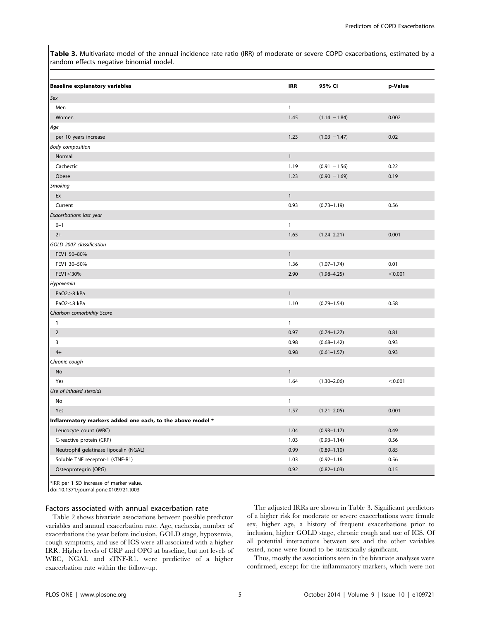Table 3. Multivariate model of the annual incidence rate ratio (IRR) of moderate or severe COPD exacerbations, estimated by a random effects negative binomial model.

| <b>Baseline explanatory variables</b>                     | <b>IRR</b>   | 95% CI          | p-Value |
|-----------------------------------------------------------|--------------|-----------------|---------|
| Sex                                                       |              |                 |         |
| Men                                                       | $\mathbf{1}$ |                 |         |
| Women                                                     | 1.45         | $(1.14 - 1.84)$ | 0.002   |
| Age                                                       |              |                 |         |
| per 10 years increase                                     | 1.23         | $(1.03 - 1.47)$ | 0.02    |
| <b>Body composition</b>                                   |              |                 |         |
| Normal                                                    | $\mathbf{1}$ |                 |         |
| Cachectic                                                 | 1.19         | $(0.91 - 1.56)$ | 0.22    |
| Obese                                                     | 1.23         | $(0.90 - 1.69)$ | 0.19    |
| Smoking                                                   |              |                 |         |
| Ex                                                        | $\mathbf{1}$ |                 |         |
| Current                                                   | 0.93         | $(0.73 - 1.19)$ | 0.56    |
| Exacerbations last year                                   |              |                 |         |
| $0 - 1$                                                   | $\mathbf{1}$ |                 |         |
| $2+$                                                      | 1.65         | $(1.24 - 2.21)$ | 0.001   |
| GOLD 2007 classification                                  |              |                 |         |
| FEV1 50-80%                                               | $\mathbf{1}$ |                 |         |
| FEV1 30-50%                                               | 1.36         | $(1.07 - 1.74)$ | 0.01    |
| FEV1<30%                                                  | 2.90         | $(1.98 - 4.25)$ | < 0.001 |
| Hypoxemia                                                 |              |                 |         |
| PaO2>8 kPa                                                | $\mathbf{1}$ |                 |         |
| PaO2<8 kPa                                                | 1.10         | $(0.79 - 1.54)$ | 0.58    |
| Charlson comorbidity Score                                |              |                 |         |
| $\mathbf{1}$                                              | $\mathbf{1}$ |                 |         |
| $\overline{2}$                                            | 0.97         | $(0.74 - 1.27)$ | 0.81    |
| 3                                                         | 0.98         | $(0.68 - 1.42)$ | 0.93    |
| $4+$                                                      | 0.98         | $(0.61 - 1.57)$ | 0.93    |
| Chronic cough                                             |              |                 |         |
| No                                                        | $\mathbf{1}$ |                 |         |
| Yes                                                       | 1.64         | $(1.30 - 2.06)$ | < 0.001 |
| Use of inhaled steroids                                   |              |                 |         |
| No                                                        | $\mathbf{1}$ |                 |         |
| Yes                                                       | 1.57         | $(1.21 - 2.05)$ | 0.001   |
| Inflammatory markers added one each, to the above model * |              |                 |         |
| Leucocyte count (WBC)                                     | 1.04         | $(0.93 - 1.17)$ | 0.49    |
| C-reactive protein (CRP)                                  | 1.03         | $(0.93 - 1.14)$ | 0.56    |
| Neutrophil gelatinase lipocalin (NGAL)                    | 0.99         | $(0.89 - 1.10)$ | 0.85    |
| Soluble TNF receptor-1 (sTNF-R1)                          | 1.03         | $(0.92 - 1.16)$ | 0.56    |
| Osteoprotegrin (OPG)                                      | 0.92         | $(0.82 - 1.03)$ | 0.15    |

\*IRR per 1 SD increase of marker value. doi:10.1371/journal.pone.0109721.t003

### Factors associated with annual exacerbation rate

Table 2 shows bivariate associations between possible predictor variables and annual exacerbation rate. Age, cachexia, number of exacerbations the year before inclusion, GOLD stage, hypoxemia, cough symptoms, and use of ICS were all associated with a higher IRR. Higher levels of CRP and OPG at baseline, but not levels of WBC, NGAL and sTNF-R1, were predictive of a higher exacerbation rate within the follow-up.

The adjusted IRRs are shown in Table 3. Significant predictors of a higher risk for moderate or severe exacerbations were female sex, higher age, a history of frequent exacerbations prior to inclusion, higher GOLD stage, chronic cough and use of ICS. Of all potential interactions between sex and the other variables tested, none were found to be statistically significant.

Thus, mostly the associations seen in the bivariate analyses were confirmed, except for the inflammatory markers, which were not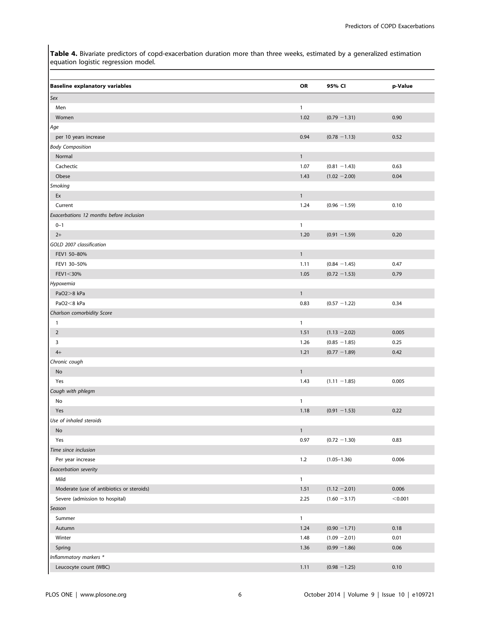Table 4. Bivariate predictors of copd-exacerbation duration more than three weeks, estimated by a generalized estimation equation logistic regression model.

| <b>Baseline explanatory variables</b>     | OR           | 95% CI          | p-Value |
|-------------------------------------------|--------------|-----------------|---------|
| Sex                                       |              |                 |         |
| Men                                       | $\mathbf{1}$ |                 |         |
| Women                                     | 1.02         | $(0.79 - 1.31)$ | 0.90    |
| Age                                       |              |                 |         |
| per 10 years increase                     | 0.94         | $(0.78 - 1.13)$ | 0.52    |
| <b>Body Composition</b>                   |              |                 |         |
| Normal                                    | $\mathbf{1}$ |                 |         |
| Cachectic                                 | 1.07         | $(0.81 - 1.43)$ | 0.63    |
| Obese                                     | 1.43         | $(1.02 - 2.00)$ | 0.04    |
| Smoking                                   |              |                 |         |
| Ex                                        | $\mathbf{1}$ |                 |         |
| Current                                   | 1.24         | $(0.96 - 1.59)$ | 0.10    |
| Exacerbations 12 months before inclusion  |              |                 |         |
| $0 - 1$                                   | $\mathbf{1}$ |                 |         |
| $2+$                                      | 1.20         | $(0.91 - 1.59)$ | 0.20    |
| GOLD 2007 classification                  |              |                 |         |
| FEV1 50-80%                               | $\mathbf{1}$ |                 |         |
| FEV1 30-50%                               | 1.11         | $(0.84 - 1.45)$ | 0.47    |
| FEV1<30%                                  | 1.05         | $(0.72 - 1.53)$ | 0.79    |
| Hypoxemia                                 |              |                 |         |
| PaO2>8 kPa                                | $\mathbf{1}$ |                 |         |
| PaO2<8 kPa                                | 0.83         | $(0.57 - 1.22)$ | 0.34    |
| Charlson comorbidity Score                |              |                 |         |
| $\mathbf{1}$                              | $\mathbf{1}$ |                 |         |
| $\overline{2}$                            | 1.51         | $(1.13 - 2.02)$ | 0.005   |
| 3                                         | 1.26         | $(0.85 - 1.85)$ | 0.25    |
| $4+$                                      | 1.21         | $(0.77 - 1.89)$ | 0.42    |
| Chronic cough                             |              |                 |         |
| No                                        | $\mathbf{1}$ |                 |         |
| Yes                                       | 1.43         | $(1.11 - 1.85)$ | 0.005   |
| Cough with phlegm                         |              |                 |         |
| No                                        | $\mathbf{1}$ |                 |         |
| Yes                                       | 1.18         | $(0.91 - 1.53)$ | 0.22    |
| Use of inhaled steroids                   |              |                 |         |
| No                                        | $\mathbf{1}$ |                 |         |
| Yes                                       | 0.97         | $(0.72 - 1.30)$ | 0.83    |
| Time since inclusion                      |              |                 |         |
| Per year increase                         | $1.2$        | $(1.05 - 1.36)$ | 0.006   |
| Exacerbation severity                     |              |                 |         |
| Mild                                      | $\mathbf{1}$ |                 |         |
| Moderate (use of antibiotics or steroids) | 1.51         | $(1.12 - 2.01)$ | 0.006   |
| Severe (admission to hospital)            | 2.25         | $(1.60 - 3.17)$ | < 0.001 |
| Season                                    |              |                 |         |
| Summer                                    | $\mathbf{1}$ |                 |         |
| Autumn                                    | 1.24         | $(0.90 - 1.71)$ | 0.18    |
| Winter                                    | 1.48         | $(1.09 - 2.01)$ | 0.01    |
| Spring                                    | 1.36         | $(0.99 - 1.86)$ | 0.06    |
| Inflammatory markers *                    |              |                 |         |
| Leucocyte count (WBC)                     | 1.11         | $(0.98 - 1.25)$ | 0.10    |
|                                           |              |                 |         |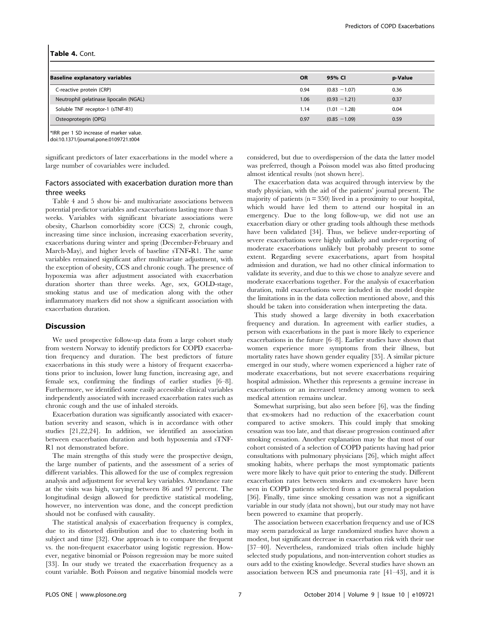#### Table 4. Cont.

| <b>Baseline explanatory variables</b>  | <b>OR</b> | 95% CI          | p-Value |
|----------------------------------------|-----------|-----------------|---------|
| C-reactive protein (CRP)               | 0.94      | $(0.83 - 1.07)$ | 0.36    |
| Neutrophil gelatinase lipocalin (NGAL) | 1.06      | $(0.93 - 1.21)$ | 0.37    |
| Soluble TNF receptor-1 (sTNF-R1)       | 1.14      | $(1.01 - 1.28)$ | 0.04    |
| Osteoprotegrin (OPG)                   | 0.97      | $(0.85 - 1.09)$ | 0.59    |

\*IRR per 1 SD increase of marker value. doi:10.1371/journal.pone.0109721.t004

significant predictors of later exacerbations in the model where a large number of covariables were included.

# Factors associated with exacerbation duration more than three weeks

Table 4 and 5 show bi- and multivariate associations between potential predictor variables and exacerbations lasting more than 3 weeks. Variables with significant bivariate associations were obesity, Charlson comorbidity score (CCS) 2, chronic cough, increasing time since inclusion, increasing exacerbation severity, exacerbations during winter and spring (December-February and March-May), and higher levels of baseline sTNF*-*R1. The same variables remained significant after multivariate adjustment, with the exception of obesity, CCS and chronic cough. The presence of hypoxemia was after adjustment associated with exacerbation duration shorter than three weeks. Age, sex, GOLD-stage, smoking status and use of medication along with the other inflammatory markers did not show a significant association with exacerbation duration.

#### Discussion

We used prospective follow-up data from a large cohort study from western Norway to identify predictors for COPD exacerbation frequency and duration. The best predictors of future exacerbations in this study were a history of frequent exacerbations prior to inclusion, lower lung function, increasing age, and female sex, confirming the findings of earlier studies [6–8]. Furthermore, we identified some easily accessible clinical variables independently associated with increased exacerbation rates such as chronic cough and the use of inhaled steroids.

Exacerbation duration was significantly associated with exacerbation severity and season, which is in accordance with other studies [21,22,24]. In addition, we identified an association between exacerbation duration and both hypoxemia and sTNF-R1 not demonstrated before.

The main strengths of this study were the prospective design, the large number of patients, and the assessment of a series of different variables. This allowed for the use of complex regression analysis and adjustment for several key variables. Attendance rate at the visits was high, varying between 86 and 97 percent. The longitudinal design allowed for predictive statistical modeling, however, no intervention was done, and the concept prediction should not be confused with causality.

The statistical analysis of exacerbation frequency is complex, due to its distorted distribution and due to clustering both in subject and time [32]. One approach is to compare the frequent vs. the non-frequent exacerbator using logistic regression. However, negative binomial or Poisson regression may be more suited [33]. In our study we treated the exacerbation frequency as a count variable. Both Poisson and negative binomial models were considered, but due to overdispersion of the data the latter model was preferred, though a Poisson model was also fitted producing almost identical results (not shown here).

The exacerbation data was acquired through interview by the study physician, with the aid of the patients' journal present. The majority of patients (n = 350) lived in a proximity to our hospital, which would have led them to attend our hospital in an emergency. Due to the long follow-up, we did not use an exacerbation diary or other grading tools although these methods have been validated [34]. Thus, we believe under-reporting of severe exacerbations were highly unlikely and under-reporting of moderate exacerbations unlikely but probably present to some extent. Regarding severe exacerbations, apart from hospital admission and duration, we had no other clinical information to validate its severity, and due to this we chose to analyze severe and moderate exacerbations together. For the analysis of exacerbation duration, mild exacerbations were included in the model despite the limitations in in the data collection mentioned above, and this should be taken into consideration when interpreting the data.

This study showed a large diversity in both exacerbation frequency and duration. In agreement with earlier studies, a person with exacerbations in the past is more likely to experience exacerbations in the future [6–8]. Earlier studies have shown that women experience more symptoms from their illness, but mortality rates have shown gender equality [35]. A similar picture emerged in our study, where women experienced a higher rate of moderate exacerbations, but not severe exacerbations requiring hospital admission. Whether this represents a genuine increase in exacerbations or an increased tendency among women to seek medical attention remains unclear.

Somewhat surprising, but also seen before [6], was the finding that ex-smokers had no reduction of the exacerbation count compared to active smokers. This could imply that smoking cessation was too late, and that disease progression continued after smoking cessation. Another explanation may be that most of our cohort consisted of a selection of COPD patients having had prior consultations with pulmonary physicians [26], which might affect smoking habits, where perhaps the most symptomatic patients were more likely to have quit prior to entering the study. Different exacerbation rates between smokers and ex-smokers have been seen in COPD patients selected from a more general population [36]. Finally, time since smoking cessation was not a significant variable in our study (data not shown), but our study may not have been powered to examine that properly.

The association between exacerbation frequency and use of ICS may seem paradoxical as large randomized studies have shown a modest, but significant decrease in exacerbation risk with their use [37–40]. Nevertheless, randomized trials often include highly selected study populations, and non-intervention cohort studies as ours add to the existing knowledge. Several studies have shown an association between ICS and pneumonia rate [41–43], and it is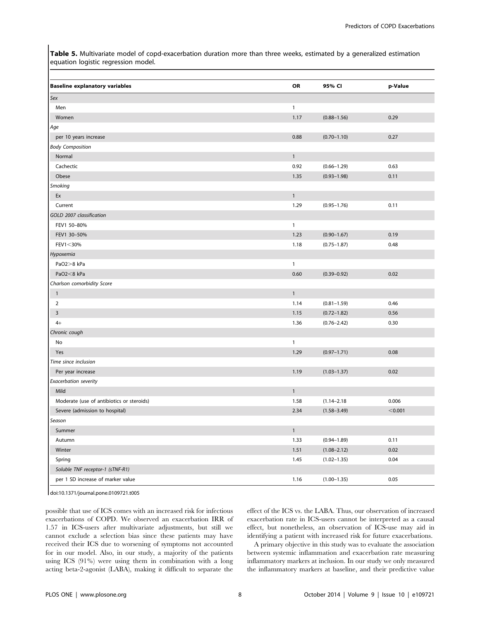Table 5. Multivariate model of copd-exacerbation duration more than three weeks, estimated by a generalized estimation equation logistic regression model.

| <b>Baseline explanatory variables</b>     | OR           | 95% CI          | p-Value |
|-------------------------------------------|--------------|-----------------|---------|
| Sex                                       |              |                 |         |
| Men                                       | $\mathbf{1}$ |                 |         |
| Women                                     | 1.17         | $(0.88 - 1.56)$ | 0.29    |
| Age                                       |              |                 |         |
| per 10 years increase                     | 0.88         | $(0.70 - 1.10)$ | 0.27    |
| <b>Body Composition</b>                   |              |                 |         |
| Normal                                    | $\mathbf{1}$ |                 |         |
| Cachectic                                 | 0.92         | $(0.66 - 1.29)$ | 0.63    |
| Obese                                     | 1.35         | $(0.93 - 1.98)$ | 0.11    |
| Smoking                                   |              |                 |         |
| Ex                                        | $\mathbf{1}$ |                 |         |
| Current                                   | 1.29         | $(0.95 - 1.76)$ | 0.11    |
| GOLD 2007 classification                  |              |                 |         |
| FEV1 50-80%                               | $\mathbf{1}$ |                 |         |
| FEV1 30-50%                               | 1.23         | $(0.90 - 1.67)$ | 0.19    |
| FEV1<30%                                  | 1.18         | $(0.75 - 1.87)$ | 0.48    |
| Hypoxemia                                 |              |                 |         |
| PaO2>8 kPa                                | $\mathbf{1}$ |                 |         |
| PaO2<8 kPa                                | 0.60         | $(0.39 - 0.92)$ | 0.02    |
| Charlson comorbidity Score                |              |                 |         |
| $\mathbf{1}$                              | $\mathbf{1}$ |                 |         |
| $\overline{2}$                            | 1.14         | $(0.81 - 1.59)$ | 0.46    |
| $\overline{\mathbf{3}}$                   | 1.15         | $(0.72 - 1.82)$ | 0.56    |
| $4+$                                      | 1.36         | $(0.76 - 2.42)$ | 0.30    |
| Chronic cough                             |              |                 |         |
| No                                        | $\mathbf{1}$ |                 |         |
| Yes                                       | 1.29         | $(0.97 - 1.71)$ | 0.08    |
| Time since inclusion                      |              |                 |         |
| Per year increase                         | 1.19         | $(1.03 - 1.37)$ | 0.02    |
| Exacerbation severity                     |              |                 |         |
| Mild                                      | $\mathbf{1}$ |                 |         |
| Moderate (use of antibiotics or steroids) | 1.58         | $(1.14 - 2.18)$ | 0.006   |
| Severe (admission to hospital)            | 2.34         | $(1.58 - 3.49)$ | < 0.001 |
| Season                                    |              |                 |         |
| Summer                                    | $\mathbf 1$  |                 |         |
| Autumn                                    | 1.33         | $(0.94 - 1.89)$ | 0.11    |
| Winter                                    | 1.51         | $(1.08 - 2.12)$ | 0.02    |
| Spring                                    | 1.45         | $(1.02 - 1.35)$ | 0.04    |
| Soluble TNF receptor-1 (sTNF-R1)          |              |                 |         |
| per 1 SD increase of marker value         | 1.16         | $(1.00 - 1.35)$ | 0.05    |

doi:10.1371/journal.pone.0109721.t005

possible that use of ICS comes with an increased risk for infectious exacerbations of COPD. We observed an exacerbation IRR of 1.57 in ICS-users after multivariate adjustments, but still we cannot exclude a selection bias since these patients may have received their ICS due to worsening of symptoms not accounted for in our model. Also, in our study, a majority of the patients using ICS (91%) were using them in combination with a long acting beta-2-agonist (LABA), making it difficult to separate the

effect of the ICS vs. the LABA. Thus, our observation of increased exacerbation rate in ICS-users cannot be interpreted as a causal effect, but nonetheless, an observation of ICS-use may aid in identifying a patient with increased risk for future exacerbations.

A primary objective in this study was to evaluate the association between systemic inflammation and exacerbation rate measuring inflammatory markers at inclusion. In our study we only measured the inflammatory markers at baseline, and their predictive value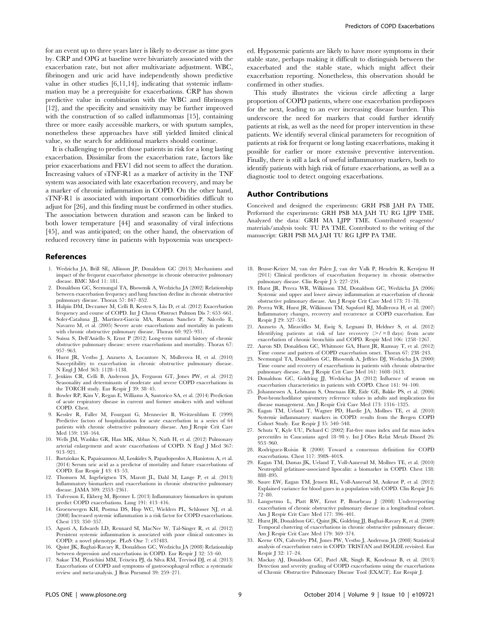for an event up to three years later is likely to decrease as time goes by. CRP and OPG at baseline were bivariately associated with the exacerbation rate, but not after multivariate adjustment. WBC, fibrinogen and uric acid have independently shown predictive value in other studies [6,11,14], indicating that systemic inflammation may be a prerequisite for exacerbations. CRP has shown predictive value in combination with the WBC and fibrinogen [12], and the specificity and sensitivity may be further improved with the construction of so called inflammomas [15], containing three or more easily accessible markers, or with sputum samples, nonetheless these approaches have still yielded limited clinical value, so the search for additional markers should continue.

It is challenging to predict those patients in risk for a long lasting exacerbation. Dissimilar from the exacerbation rate, factors like prior exacerbations and FEV1 did not seem to affect the duration. Increasing values of sTNF-R1 as a marker of activity in the TNF system was associated with late exacerbation recovery, and may be a marker of chronic inflammation in COPD. On the other hand, sTNF-R1 is associated with important comorbidities difficult to adjust for [26], and this finding must be confirmed in other studies. The association between duration and season can be linked to both lower temperature [44] and seasonality of viral infections [45], and was anticipated; on the other hand, the observation of reduced recovery time in patients with hypoxemia was unexpect-

# References

- 1. Wedzicha JA, Brill SE, Allinson JP, Donaldson GC (2013) Mechanisms and impact of the frequent exacerbator phenotype in chronic obstructive pulmonary disease. BMC Med 11: 181.
- 2. Donaldson GC, Seemungal TA, Bhowmik A, Wedzicha JA (2002) Relationship between exacerbation frequency and lung function decline in chronic obstructive pulmonary disease. Thorax 57: 847–852.
- 3. Halpin DM, Decramer M, Celli B, Kesten S, Liu D, et al. (2012) Exacerbation frequency and course of COPD. Int J Chron Obstruct Pulmon Dis 7: 653–661.
- 4. Soler-Cataluna JJ, Martinez-Garcia MA, Roman Sanchez P, Salcedo E, Navarro M, et al. (2005) Severe acute exacerbations and mortality in patients with chronic obstructive pulmonary disease. Thorax 60: 925–931.
- 5. Suissa S, Dell'Aniello S, Ernst P (2012) Long-term natural history of chronic obstructive pulmonary disease: severe exacerbations and mortality. Thorax 67: 957–963.
- 6. Hurst JR, Vestbo J, Anzueto A, Locantore N, Mullerova H, et al. (2010) Susceptibility to exacerbation in chronic obstructive pulmonary disease. N Engl J Med 363: 1128–1138.
- 7. Jenkins CR, Celli B, Anderson JA, Ferguson GT, Jones PW, et al. (2012) Seasonality and determinants of moderate and severe COPD exacerbations in the TORCH study. Eur Respir J 39: 38–45.
- 8. Bowler RP, Kim V, Regan E, Williams A, Santorico SA, et al. (2014) Prediction of acute respiratory disease in current and former smokers with and without COPD. Chest.
- 9. Kessler R, Faller M, Fourgaut G, Mennecier B, Weitzenblum E (1999) Predictive factors of hospitalization for acute exacerbation in a series of 64 patients with chronic obstructive pulmonary disease. Am J Respir Crit Care Med 159: 158–164.
- 10. Wells JM, Washko GR, Han MK, Abbas N, Nath H, et al. (2012) Pulmonary arterial enlargement and acute exacerbations of COPD. N Engl J Med 367: 913–921.
- 11. Bartziokas K, Papaioannou AI, Loukides S, Papadopoulos A, Haniotou A, et al. (2014) Serum uric acid as a predictor of mortality and future exacerbations of COPD. Eur Respir J 43: 43–53.
- 12. Thomsen M, Ingebrigtsen TS, Marott JL, Dahl M, Lange P, et al. (2013) Inflammatory biomarkers and exacerbations in chronic obstructive pulmonary disease. JAMA 309: 2353–2361.
- 13. Tufvesson E, Ekberg M, Bjermer L (2013) Inflammatory biomarkers in sputum predict COPD exacerbations. Lung 191: 413–416.
- 14. Groenewegen KH, Postma DS, Hop WC, Wielders PL, Schlosser NJ, et al. (2008) Increased systemic inflammation is a risk factor for COPD exacerbations. Chest 133: 350–357.
- 15. Agusti A, Edwards LD, Rennard SI, MacNee W, Tal-Singer R, et al. (2012) Persistent systemic inflammation is associated with poor clinical outcomes in COPD: a novel phenotype. PLoS One 7: e37483.
- 16. Quint JK, Baghai-Ravary R, Donaldson GC, Wedzicha JA (2008) Relationship between depression and exacerbations in COPD. Eur Respir J 32: 53–60.

Predictors of COPD Exacerbations

ed. Hypoxemic patients are likely to have more symptoms in their stable state, perhaps making it difficult to distinguish between the exacerbated and the stable state, which might affect their exacerbation reporting. Nonetheless, this observation should be confirmed in other studies.

This study illustrates the vicious circle affecting a large proportion of COPD patients, where one exacerbation predisposes for the next, leading to an ever increasing disease burden. This underscore the need for markers that could further identify patients at risk, as well as the need for proper intervention in these patients. We identify several clinical parameters for recognition of patients at risk for frequent or long lasting exacerbations, making it possible for earlier or more extensive preventive intervention. Finally, there is still a lack of useful inflammatory markers, both to identify patients with high risk of future exacerbations, as well as a diagnostic tool to detect ongoing exacerbations.

#### Author Contributions

Conceived and designed the experiments: GRH PSB JAH PA TME. Performed the experiments: GRH PSB MA JAH TU RG LJPP TME. Analyzed the data: GRH MA LJPP TME. Contributed reagents/ materials/analysis tools: TU PA TME. Contributed to the writing of the manuscript: GRH PSB MA JAH TU RG LJPP PA TME.

- 18. Brusse-Keizer M, van der Palen J, van der Valk P, Hendrix R, Kerstjens H (2011) Clinical predictors of exacerbation frequency in chronic obstructive pulmonary disease. Clin Respir J 5: 227–234.
- 19. Hurst JR, Perera WR, Wilkinson TM, Donaldson GC, Wedzicha JA (2006) Systemic and upper and lower airway inflammation at exacerbation of chronic obstructive pulmonary disease. Am J Respir Crit Care Med 173: 71–78.
- 20. Perera WR, Hurst JR, Wilkinson TM, Sapsford RJ, Mullerova H, et al. (2007) Inflammatory changes, recovery and recurrence at COPD exacerbation. Eur Respir J 29: 527–534.
- 21. Anzueto A, Miravitlles M, Ewig S, Legnani D, Heldner S, et al. (2012) Identifying patients at risk of late recovery  $(2/ = 8 \text{ days})$  from acute exacerbation of chronic bronchitis and COPD. Respir Med 106: 1258–1267.
- 22. Aaron SD, Donaldson GC, Whitmore GA, Hurst JR, Ramsay T, et al. (2012) Time course and pattern of COPD exacerbation onset. Thorax 67: 238–243.
- 23. Seemungal TA, Donaldson GC, Bhowmik A, Jeffries DJ, Wedzicha JA (2000) Time course and recovery of exacerbations in patients with chronic obstructive pulmonary disease. Am J Respir Crit Care Med 161: 1608–1613.
- 24. Donaldson GC, Goldring JJ, Wedzicha JA (2012) Influence of season on exacerbation characteristics in patients with COPD. Chest 141: 94–100.
- 25. Johannessen A, Lehmann S, Omenaas ER, Eide GE, Bakke PS, et al. (2006) Post-bronchodilator spirometry reference values in adults and implications for disease management. Am J Respir Crit Care Med 173: 1316–1325.
- 26. Eagan TM, Ueland T, Wagner PD, Hardie JA, Mollnes TE, et al. (2010) Systemic inflammatory markers in COPD: results from the Bergen COPD Cohort Study. Eur Respir J 35: 540–548.
- 27. Schutz Y, Kyle UU, Pichard C (2002) Fat-free mass index and fat mass index percentiles in Caucasians aged 18–98 y. Int J Obes Relat Metab Disord 26: 953–960.
- 28. Rodriguez-Roisin R (2000) Toward a consensus definition for COPD exacerbations. Chest 117: 398S–401S.
- 29. Eagan TM, Damas JK, Ueland T, Voll-Aanerud M, Mollnes TE, et al. (2010) Neutrophil gelatinase-associated lipocalin: a biomarker in COPD. Chest 138: 888–895.
- 30. Saure EW, Eagan TM, Jensen RL, Voll-Aanerud M, Aukrust P, et al. (2012) Explained variance for blood gases in a population with COPD. Clin Respir J 6: 72–80.
- 31. Langsetmo L, Platt RW, Ernst P, Bourbeau J (2008) Underreporting exacerbation of chronic obstructive pulmonary disease in a longitudinal cohort. Am J Respir Crit Care Med 177: 396–401.
- 32. Hurst JR, Donaldson GC, Quint JK, Goldring JJ, Baghai-Ravary R, et al. (2009) Temporal clustering of exacerbations in chronic obstructive pulmonary disease. Am J Respir Crit Care Med 179: 369–374.
- 33. Keene ON, Calverley PM, Jones PW, Vestbo J, Anderson JA (2008) Statistical analysis of exacerbation rates in COPD: TRISTAN and ISOLDE revisited. Eur Respir J 32: 17–24.
- 17. Sakae TM, Pizzichini MM, Teixeira PJ, da Silva RM, Trevisol DJ, et al. (2013) Exacerbations of COPD and symptoms of gastroesophageal reflux: a systematic review and meta-analysis. J Bras Pneumol 39: 259–271.
- 34. Mackay AJ, Donaldson GC, Patel AR, Singh R, Kowlessar B, et al. (2013) Detection and severity grading of COPD exacerbations using the exacerbations of Chronic Obstructive Pulmonary Disease Tool (EXACT). Eur Respir J.